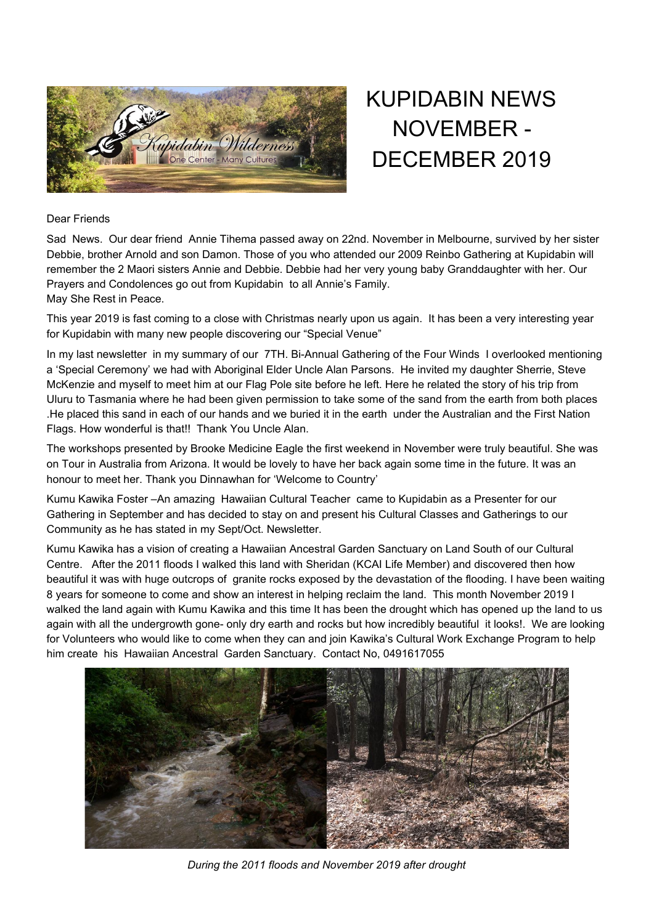

## KUPIDABIN NEWS NOVEMBER - DECEMBER 2019

## Dear Friends

Sad News. Our dear friend Annie Tihema passed away on 22nd. November in Melbourne, survived by her sister Debbie, brother Arnold and son Damon. Those of you who attended our 2009 Reinbo Gathering at Kupidabin will remember the 2 Maori sisters Annie and Debbie. Debbie had her very young baby Granddaughter with her. Our Prayers and Condolences go out from Kupidabin to all Annie's Family. May She Rest in Peace.

This year 2019 is fast coming to a close with Christmas nearly upon us again. It has been a very interesting year for Kupidabin with many new people discovering our "Special Venue"

In my last newsletter in my summary of our 7TH. Bi-Annual Gathering of the Four Winds I overlooked mentioning a 'Special Ceremony' we had with Aboriginal Elder Uncle Alan Parsons. He invited my daughter Sherrie, Steve McKenzie and myself to meet him at our Flag Pole site before he left. Here he related the story of his trip from Uluru to Tasmania where he had been given permission to take some of the sand from the earth from both places .He placed this sand in each of our hands and we buried it in the earth under the Australian and the First Nation Flags. How wonderful is that!! Thank You Uncle Alan.

The workshops presented by Brooke Medicine Eagle the first weekend in November were truly beautiful. She was on Tour in Australia from Arizona. It would be lovely to have her back again some time in the future. It was an honour to meet her. Thank you Dinnawhan for 'Welcome to Country'

Kumu Kawika Foster –An amazing Hawaiian Cultural Teacher came to Kupidabin as a Presenter for our Gathering in September and has decided to stay on and present his Cultural Classes and Gatherings to our Community as he has stated in my Sept/Oct. Newsletter.

Kumu Kawika has a vision of creating a Hawaiian Ancestral Garden Sanctuary on Land South of our Cultural Centre. After the 2011 floods I walked this land with Sheridan (KCAI Life Member) and discovered then how beautiful it was with huge outcrops of granite rocks exposed by the devastation of the flooding. I have been waiting 8 years for someone to come and show an interest in helping reclaim the land. This month November 2019 I walked the land again with Kumu Kawika and this time It has been the drought which has opened up the land to us again with all the undergrowth gone- only dry earth and rocks but how incredibly beautiful it looks!. We are looking for Volunteers who would like to come when they can and join Kawika's Cultural Work Exchange Program to help him create his Hawaiian Ancestral Garden Sanctuary. Contact No, 0491617055



*During the 2011 floods and November 2019 after drought*